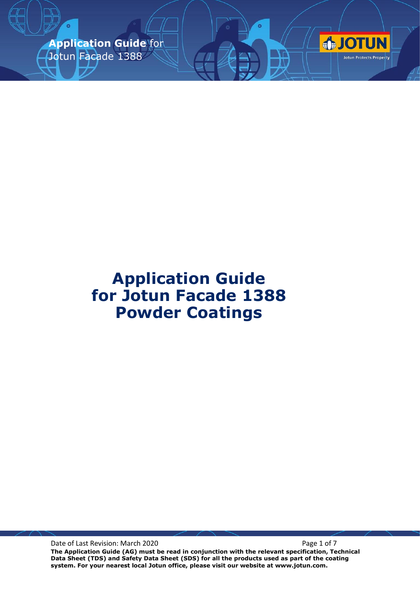**Application Guide** for Jotun Facade 1388



Date of Last Revision: March 2020 **Page 1 of 7** Page 1 of 7

**The Application Guide (AG) must be read in conjunction with the relevant specification, Technical Data Sheet (TDS) and Safety Data Sheet (SDS) for all the products used as part of the coating system. For your nearest local Jotun office, please visit our website at www.jotun.com.**

**OTUN** 

Jotun Protects Property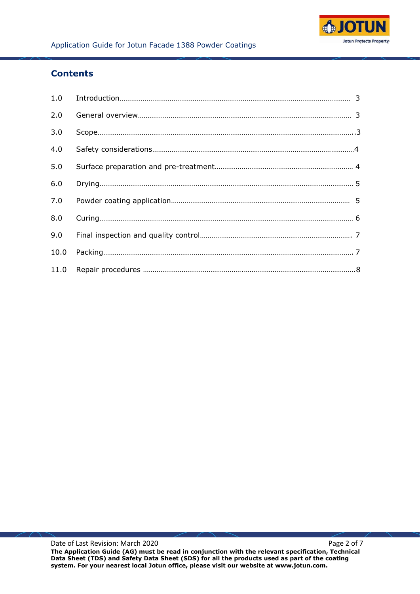

# **Contents**

| 2.0 |  |
|-----|--|
| 3.0 |  |
| 4.0 |  |
| 5.0 |  |
| 6.0 |  |
| 7.0 |  |
| 8.0 |  |
| 9.0 |  |
|     |  |
|     |  |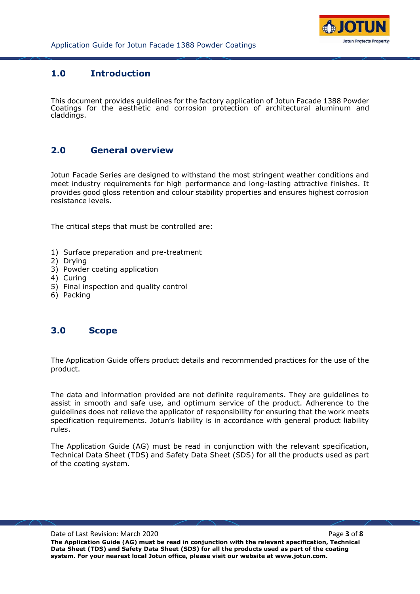

## **1.0 Introduction**

This document provides guidelines for the factory application of Jotun Facade 1388 Powder Coatings for the aesthetic and corrosion protection of architectural aluminum and claddings.

### **2.0 General overview**

Jotun Facade Series are designed to withstand the most stringent weather conditions and meet industry requirements for high performance and long-lasting attractive finishes. It provides good gloss retention and colour stability properties and ensures highest corrosion resistance levels.

The critical steps that must be controlled are:

- 1) Surface preparation and pre-treatment
- 2) Drying
- 3) Powder coating application
- 4) Curing
- 5) Final inspection and quality control
- 6) Packing

#### **3.0 Scope**

The Application Guide offers product details and recommended practices for the use of the product.

The data and information provided are not definite requirements. They are guidelines to assist in smooth and safe use, and optimum service of the product. Adherence to the guidelines does not relieve the applicator of responsibility for ensuring that the work meets specification requirements. Jotun's liability is in accordance with general product liability rules.

The Application Guide (AG) must be read in conjunction with the relevant specification, Technical Data Sheet (TDS) and Safety Data Sheet (SDS) for all the products used as part of the coating system.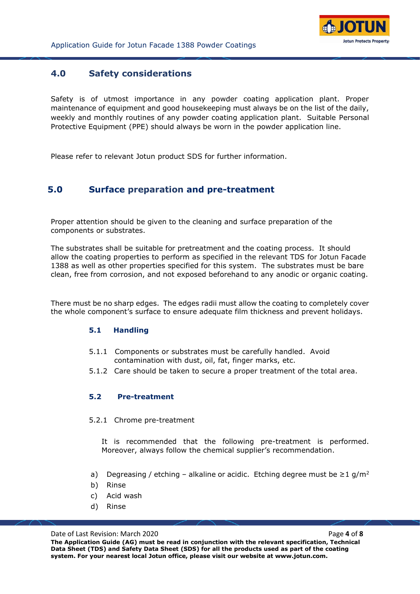

## **4.0 Safety considerations**

Safety is of utmost importance in any powder coating application plant. Proper maintenance of equipment and good housekeeping must always be on the list of the daily, weekly and monthly routines of any powder coating application plant. Suitable Personal Protective Equipment (PPE) should always be worn in the powder application line.

Please refer to relevant Jotun product SDS for further information.

### **5.0 Surface preparation and pre-treatment**

Proper attention should be given to the cleaning and surface preparation of the components or substrates.

The substrates shall be suitable for pretreatment and the coating process. It should allow the coating properties to perform as specified in the relevant TDS for Jotun Facade 1388 as well as other properties specified for this system. The substrates must be bare clean, free from corrosion, and not exposed beforehand to any anodic or organic coating.

There must be no sharp edges. The edges radii must allow the coating to completely cover the whole component's surface to ensure adequate film thickness and prevent holidays.

#### **5.1 Handling**

- 5.1.1 Components or substrates must be carefully handled. Avoid contamination with dust, oil, fat, finger marks, etc.
- 5.1.2 Care should be taken to secure a proper treatment of the total area.

#### **5.2 Pre-treatment**

5.2.1 Chrome pre-treatment

It is recommended that the following pre-treatment is performed. Moreover, always follow the chemical supplier's recommendation.

- a) Degreasing / etching alkaline or acidic. Etching degree must be  $\geq 1$  g/m<sup>2</sup>
- b) Rinse
- c) Acid wash
- d) Rinse

Date of Last Revision: March 2020 **Page 4** of **8 The Application Guide (AG) must be read in conjunction with the relevant specification, Technical Data Sheet (TDS) and Safety Data Sheet (SDS) for all the products used as part of the coating system. For your nearest local Jotun office, please visit our website at www.jotun.com.**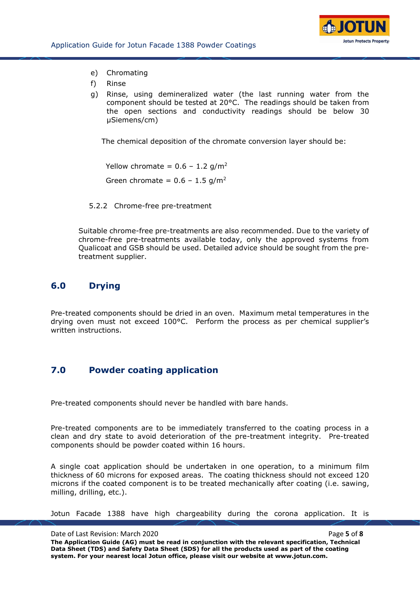

- e) Chromating
- f) Rinse
- g) Rinse, using demineralized water (the last running water from the component should be tested at  $20^{\circ}$ C. The readings should be taken from the open sections and conductivity readings should be below 30 µSiemens/cm)

The chemical deposition of the chromate conversion layer should be:

Yellow chromate =  $0.6 - 1.2$  g/m<sup>2</sup> Green chromate =  $0.6 - 1.5$  g/m<sup>2</sup>

5.2.2 Chrome-free pre-treatment

Suitable chrome-free pre-treatments are also recommended. Due to the variety of chrome-free pre-treatments available today, only the approved systems from Qualicoat and GSB should be used. Detailed advice should be sought from the pretreatment supplier.

## **6.0 Drying**

Pre-treated components should be dried in an oven. Maximum metal temperatures in the drying oven must not exceed 100°C. Perform the process as per chemical supplier's written instructions.

# **7.0 Powder coating application**

Pre-treated components should never be handled with bare hands.

Pre-treated components are to be immediately transferred to the coating process in a clean and dry state to avoid deterioration of the pre-treatment integrity. Pre-treated components should be powder coated within 16 hours.

A single coat application should be undertaken in one operation, to a minimum film thickness of 60 microns for exposed areas. The coating thickness should not exceed 120 microns if the coated component is to be treated mechanically after coating (i.e. sawing, milling, drilling, etc.).

Jotun Facade 1388 have high chargeability during the corona application. It is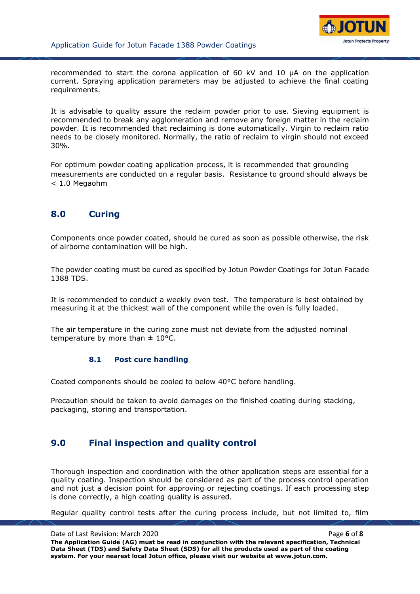

recommended to start the corona application of 60 kV and 10 µA on the application current. Spraying application parameters may be adjusted to achieve the final coating requirements.

It is advisable to quality assure the reclaim powder prior to use. Sieving equipment is recommended to break any agglomeration and remove any foreign matter in the reclaim powder. It is recommended that reclaiming is done automatically. Virgin to reclaim ratio needs to be closely monitored. Normally, the ratio of reclaim to virgin should not exceed 30%.

For optimum powder coating application process, it is recommended that grounding measurements are conducted on a regular basis. Resistance to ground should always be < 1.0 Megaohm

## **8.0 Curing**

Components once powder coated, should be cured as soon as possible otherwise, the risk of airborne contamination will be high.

The powder coating must be cured as specified by Jotun Powder Coatings for Jotun Facade 1388 TDS.

It is recommended to conduct a weekly oven test. The temperature is best obtained by measuring it at the thickest wall of the component while the oven is fully loaded.

The air temperature in the curing zone must not deviate from the adjusted nominal temperature by more than  $\pm$  10°C.

#### **8.1 Post cure handling**

Coated components should be cooled to below 40°C before handling.

Precaution should be taken to avoid damages on the finished coating during stacking, packaging, storing and transportation.

#### **9.0 Final inspection and quality control**

Thorough inspection and coordination with the other application steps are essential for a quality coating. Inspection should be considered as part of the process control operation and not just a decision point for approving or rejecting coatings. If each processing step is done correctly, a high coating quality is assured.

Regular quality control tests after the curing process include, but not limited to, film

Date of Last Revision: March 2020 **Page 6** of **8 Page 6** of **8 The Application Guide (AG) must be read in conjunction with the relevant specification, Technical Data Sheet (TDS) and Safety Data Sheet (SDS) for all the products used as part of the coating system. For your nearest local Jotun office, please visit our website at www.jotun.com.**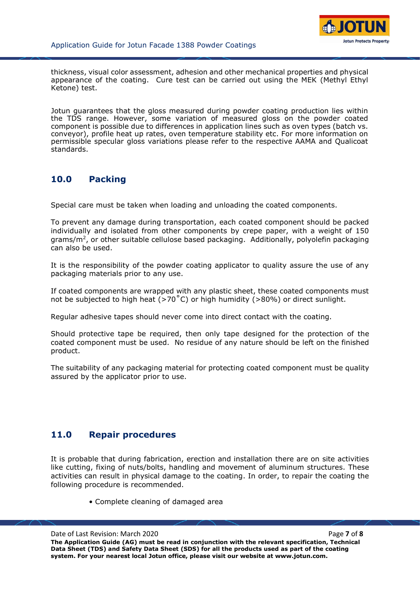

thickness, visual color assessment, adhesion and other mechanical properties and physical appearance of the coating. Cure test can be carried out using the MEK (Methyl Ethyl Ketone) test.

Jotun guarantees that the gloss measured during powder coating production lies within the TDS range. However, some variation of measured gloss on the powder coated component is possible due to differences in application lines such as oven types (batch vs. conveyor), profile heat up rates, oven temperature stability etc. For more information on permissible specular gloss variations please refer to the respective AAMA and Qualicoat standards.

## **10.0 Packing**

Special care must be taken when loading and unloading the coated components.

To prevent any damage during transportation, each coated component should be packed individually and isolated from other components by crepe paper, with a weight of 150 grams/m<sup>2</sup>, or other suitable cellulose based packaging. Additionally, polyolefin packaging can also be used.

It is the responsibility of the powder coating applicator to quality assure the use of any packaging materials prior to any use.

If coated components are wrapped with any plastic sheet, these coated components must not be subjected to high heat ( $>70^{\circ}$ C) or high humidity ( $>80\%$ ) or direct sunlight.

Regular adhesive tapes should never come into direct contact with the coating.

Should protective tape be required, then only tape designed for the protection of the coated component must be used. No residue of any nature should be left on the finished product.

The suitability of any packaging material for protecting coated component must be quality assured by the applicator prior to use.

## **11.0 Repair procedures**

It is probable that during fabrication, erection and installation there are on site activities like cutting, fixing of nuts/bolts, handling and movement of aluminum structures. These activities can result in physical damage to the coating. In order, to repair the coating the following procedure is recommended.

• Complete cleaning of damaged area